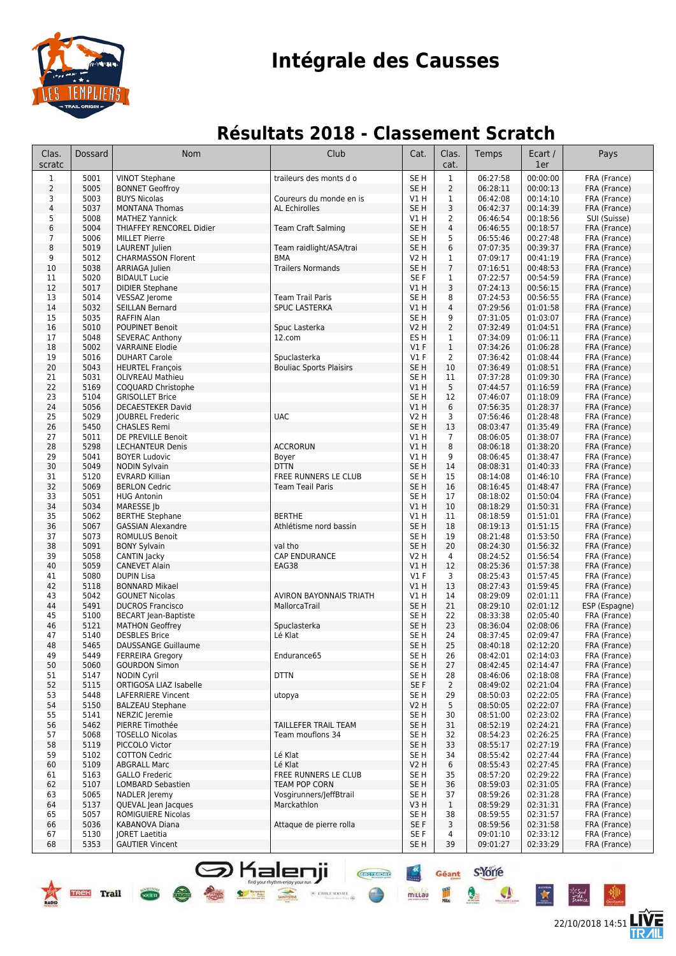

## **Intégrale des Causses**

### **Résultats 2018 - Classement Scratch**

| Clas.<br>scratc | Dossard      | <b>Nom</b>                                               | Club                                            | Cat.                               | Clas.<br>cat.                    | Temps                | Ecart /<br>1er       | Pays                          |
|-----------------|--------------|----------------------------------------------------------|-------------------------------------------------|------------------------------------|----------------------------------|----------------------|----------------------|-------------------------------|
| $\mathbf{1}$    | 5001         | <b>VINOT Stephane</b>                                    | traileurs des monts d o                         | SE <sub>H</sub>                    | $\mathbf{1}$                     | 06:27:58             | 00:00:00             | FRA (France)                  |
| 2               | 5005         | <b>BONNET Geoffroy</b>                                   |                                                 | SE <sub>H</sub>                    | $\overline{2}$                   | 06:28:11             | 00:00:13             | FRA (France)                  |
| 3               | 5003         | <b>BUYS Nicolas</b>                                      | Coureurs du monde en is                         | V1 H                               | $\mathbf{1}$                     | 06:42:08             | 00:14:10             | FRA (France)                  |
| $\overline{4}$  | 5037         | <b>MONTANA Thomas</b>                                    | <b>AL Echirolles</b>                            | SE <sub>H</sub>                    | 3                                | 06:42:37             | 00:14:39             | FRA (France)                  |
| 5<br>6          | 5008<br>5004 | <b>MATHEZ Yannick</b><br><b>THIAFFEY RENCOREL Didier</b> |                                                 | V1 H<br>SE <sub>H</sub>            | $\overline{2}$<br>$\overline{4}$ | 06:46:54             | 00:18:56<br>00:18:57 | SUI (Suisse)<br>FRA (France)  |
| $\overline{7}$  | 5006         | <b>MILLET Pierre</b>                                     | <b>Team Craft Salming</b>                       | SE <sub>H</sub>                    | 5                                | 06:46:55<br>06:55:46 | 00:27:48             | FRA (France)                  |
| 8               | 5019         | <b>LAURENT</b> Julien                                    | Team raidlight/ASA/trai                         | SE <sub>H</sub>                    | 6                                | 07:07:35             | 00:39:37             | FRA (France)                  |
| 9               | 5012         | <b>CHARMASSON Florent</b>                                | <b>BMA</b>                                      | V2 H                               | 1                                | 07:09:17             | 00:41:19             | FRA (France)                  |
| 10              | 5038         | ARRIAGA Julien                                           | <b>Trailers Normands</b>                        | SE <sub>H</sub>                    | $\overline{7}$                   | 07:16:51             | 00:48:53             | FRA (France)                  |
| 11              | 5020         | <b>BIDAULT Lucie</b>                                     |                                                 | SE F                               | 1                                | 07:22:57             | 00:54:59             | FRA (France)                  |
| 12              | 5017         | <b>DIDIER Stephane</b>                                   |                                                 | V1H                                | 3                                | 07:24:13             | 00:56:15             | FRA (France)                  |
| 13<br>14        | 5014<br>5032 | VESSAZ Jerome<br><b>SEILLAN Bernard</b>                  | <b>Team Trail Paris</b><br><b>SPUC LASTERKA</b> | SE <sub>H</sub><br>V1H             | 8<br>$\overline{4}$              | 07:24:53<br>07:29:56 | 00:56:55<br>01:01:58 | FRA (France)<br>FRA (France)  |
| 15              | 5035         | <b>RAFFIN Alan</b>                                       |                                                 | SE <sub>H</sub>                    | 9                                | 07:31:05             | 01:03:07             | FRA (France)                  |
| 16              | 5010         | <b>POUPINET Benoit</b>                                   | Spuc Lasterka                                   | <b>V2 H</b>                        | $\overline{2}$                   | 07:32:49             | 01:04:51             | FRA (France)                  |
| 17              | 5048         | <b>SEVERAC Anthony</b>                                   | 12.com                                          | ES <sub>H</sub>                    | $\mathbf{1}$                     | 07:34:09             | 01:06:11             | FRA (France)                  |
| 18              | 5002         | <b>VARRAINE Elodie</b>                                   |                                                 | $VI$ F                             | $\mathbf{1}$                     | 07:34:26             | 01:06:28             | FRA (France)                  |
| 19              | 5016         | <b>DUHART Carole</b>                                     | Spuclasterka                                    | $VI$ F                             | $\overline{2}$                   | 07:36:42             | 01:08:44             | FRA (France)                  |
| 20              | 5043         | <b>HEURTEL François</b>                                  | <b>Bouliac Sports Plaisirs</b>                  | SE <sub>H</sub>                    | 10                               | 07:36:49             | 01:08:51             | FRA (France)                  |
| 21<br>22        | 5031<br>5169 | <b>OLIVREAU Mathieu</b><br>COQUARD Christophe            |                                                 | SE <sub>H</sub><br>VIH             | 11<br>5                          | 07:37:28<br>07:44:57 | 01:09:30<br>01:16:59 | FRA (France)<br>FRA (France)  |
| 23              | 5104         | <b>GRISOLLET Brice</b>                                   |                                                 | SE <sub>H</sub>                    | 12                               | 07:46:07             | 01:18:09             | FRA (France)                  |
| 24              | 5056         | <b>DECAESTEKER David</b>                                 |                                                 | V1H                                | 6                                | 07:56:35             | 01:28:37             | FRA (France)                  |
| 25              | 5029         | JOUBREL Frederic                                         | <b>UAC</b>                                      | <b>V2 H</b>                        | 3                                | 07:56:46             | 01:28:48             | FRA (France)                  |
| 26              | 5450         | <b>CHASLES Remi</b>                                      |                                                 | SE <sub>H</sub>                    | 13                               | 08:03:47             | 01:35:49             | FRA (France)                  |
| 27              | 5011         | DE PREVILLE Benoit                                       |                                                 | V1 H                               | $\overline{7}$                   | 08:06:05             | 01:38:07             | FRA (France)                  |
| 28              | 5298         | <b>LECHANTEUR Denis</b>                                  | <b>ACCRORUN</b>                                 | V1H                                | 8                                | 08:06:18             | 01:38:20             | FRA (France)                  |
| 29<br>30        | 5041<br>5049 | <b>BOYER Ludovic</b><br><b>NODIN Sylvain</b>             | Boyer<br><b>DTTN</b>                            | V1 H<br>SE <sub>H</sub>            | 9<br>14                          | 08:06:45<br>08:08:31 | 01:38:47<br>01:40:33 | FRA (France)<br>FRA (France)  |
| 31              | 5120         | <b>EVRARD Killian</b>                                    | FREE RUNNERS LE CLUB                            | SE <sub>H</sub>                    | 15                               | 08:14:08             | 01:46:10             | FRA (France)                  |
| 32              | 5069         | <b>BERLON Cedric</b>                                     | <b>Team Teail Paris</b>                         | SE <sub>H</sub>                    | 16                               | 08:16:45             | 01:48:47             | FRA (France)                  |
| 33              | 5051         | <b>HUG Antonin</b>                                       |                                                 | SE <sub>H</sub>                    | 17                               | 08:18:02             | 01:50:04             | FRA (France)                  |
| 34              | 5034         | MARESSE Jb                                               |                                                 | VIH                                | 10                               | 08:18:29             | 01:50:31             | FRA (France)                  |
| 35              | 5062         | <b>BERTHE Stephane</b>                                   | <b>BERTHE</b>                                   | V1H                                | 11                               | 08:18:59             | 01:51:01             | FRA (France)                  |
| 36<br>37        | 5067<br>5073 | <b>GASSIAN Alexandre</b>                                 | Athlétisme nord bassin                          | SE <sub>H</sub><br>SE <sub>H</sub> | 18<br>19                         | 08:19:13<br>08:21:48 | 01:51:15<br>01:53:50 | FRA (France)                  |
| 38              | 5091         | <b>ROMULUS Benoit</b><br><b>BONY Sylvain</b>             | val tho                                         | SE <sub>H</sub>                    | 20                               | 08:24:30             | 01:56:32             | FRA (France)<br>FRA (France)  |
| 39              | 5058         | CANTIN Jacky                                             | CAP ENDURANCE                                   | <b>V2 H</b>                        | 4                                | 08:24:52             | 01:56:54             | FRA (France)                  |
| 40              | 5059         | <b>CANEVET Alain</b>                                     | EAG38                                           | <b>V1 H</b>                        | 12                               | 08:25:36             | 01:57:38             | FRA (France)                  |
| 41              | 5080         | <b>DUPIN Lisa</b>                                        |                                                 | $VI$ F                             | 3                                | 08:25:43             | 01:57:45             | FRA (France)                  |
| 42              | 5118         | <b>BONNARD Mikael</b>                                    |                                                 | V1H                                | 13                               | 08:27:43             | 01:59:45             | FRA (France)                  |
| 43              | 5042         | <b>GOUNET Nicolas</b>                                    | AVIRON BAYONNAIS TRIATH<br>MallorcaTrail        | V1 H                               | 14                               | 08:29:09<br>08:29:10 | 02:01:11<br>02:01:12 | FRA (France)                  |
| 44<br>45        | 5491<br>5100 | <b>DUCROS Francisco</b><br><b>BECART</b> Jean-Baptiste   |                                                 | SE <sub>H</sub><br>SE <sub>H</sub> | 21<br>22                         | 08:33:38             | 02:05:40             | ESP (Espagne)<br>FRA (France) |
| 46              | 5121         | <b>MATHON Geoffrey</b>                                   | Spuclasterka                                    | SE <sub>H</sub>                    | 23                               | 08:36:04             | 02:08:06             | FRA (France)                  |
| 47              | 5140         | <b>DESBLES Brice</b>                                     | Lé Klat                                         | SE H                               | 24                               | 08:37:45             | 02:09:47             | FRA (France)                  |
| 48              | 5465         | <b>DAUSSANGE Guillaume</b>                               |                                                 | SE <sub>H</sub>                    | 25                               | 08:40:18             | 02:12:20             | FRA (France)                  |
| 49              | 5449         | <b>FERREIRA Gregory</b>                                  | Endurance65                                     | SE H                               | 26                               | 08:42:01             | 02:14:03             | FRA (France)                  |
| 50              | 5060         | <b>GOURDON Simon</b>                                     |                                                 | SE H                               | 27                               | 08:42:45             | 02:14:47             | FRA (France)                  |
| 51<br>52        | 5147<br>5115 | <b>NODIN Cyril</b><br>ORTIGOSA LIAZ Isabelle             | <b>DTTN</b>                                     | SE <sub>H</sub><br>SE F            | 28<br>$\overline{2}$             | 08:46:06<br>08:49:02 | 02:18:08<br>02:21:04 | FRA (France)<br>FRA (France)  |
| 53              | 5448         | LAFERRIERE Vincent                                       | utopya                                          | SE H                               | 29                               | 08:50:03             | 02:22:05             | FRA (France)                  |
| 54              | 5150         | <b>BALZEAU Stephane</b>                                  |                                                 | V2H                                | 5                                | 08:50:05             | 02:22:07             | FRA (France)                  |
| 55              | 5141         | NERZIC Jeremie                                           |                                                 | SE H                               | 30                               | 08:51:00             | 02:23:02             | FRA (France)                  |
| 56              | 5462         | PIERRE Timothée                                          | TAILLEFER TRAIL TEAM                            | SE H                               | 31                               | 08:52:19             | 02:24:21             | FRA (France)                  |
| 57              | 5068         | <b>TOSELLO Nicolas</b>                                   | Team mouflons 34                                | SE H                               | 32                               | 08:54:23             | 02:26:25             | FRA (France)                  |
| 58              | 5119         | PICCOLO Victor                                           |                                                 | SE <sub>H</sub>                    | 33                               | 08:55:17             | 02:27:19             | FRA (France)                  |
| 59<br>60        | 5102<br>5109 | <b>COTTON Cedric</b><br><b>ABGRALL Marc</b>              | Lé Klat<br>Lé Klat                              | SE H<br>V2 H                       | 34<br>6                          | 08:55:42<br>08:55:43 | 02:27:44<br>02:27:45 | FRA (France)<br>FRA (France)  |
| 61              | 5163         | <b>GALLO Frederic</b>                                    | FREE RUNNERS LE CLUB                            | SE H                               | 35                               | 08:57:20             | 02:29:22             | FRA (France)                  |
| 62              | 5107         | LOMBARD Sebastien                                        | <b>TEAM POP CORN</b>                            | SE <sub>H</sub>                    | 36                               | 08:59:03             | 02:31:05             | FRA (France)                  |
| 63              | 5065         | NADLER Jeremy                                            | Vosgirunners/JeffBtrail                         | SE <sub>H</sub>                    | 37                               | 08:59:26             | 02:31:28             | FRA (France)                  |
| 64              | 5137         | QUEVAL Jean Jacques                                      | Marckathlon                                     | V3H                                | $\mathbf{1}$                     | 08:59:29             | 02:31:31             | FRA (France)                  |
| 65              | 5057         | ROMIGUIERE Nicolas                                       |                                                 | SE H                               | 38                               | 08:59:55             | 02:31:57             | FRA (France)                  |
| 66<br>67        | 5036<br>5130 | KABANOVA Diana<br>JORET Laetitia                         | Attaque de pierre rolla                         | SE F<br>SE F                       | 3<br>4                           | 08:59:56<br>09:01:10 | 02:31:58<br>02:33:12 | FRA (France)<br>FRA (France)  |
| 68              | 5353         | <b>GAUTIER Vincent</b>                                   |                                                 | SE H                               | 39                               | 09:01:27             | 02:33:29             | FRA (France)                  |
|                 |              |                                                          |                                                 |                                    |                                  |                      |                      |                               |

S Kalenji

TREK Trail Coun

 $\frac{1}{\sqrt{1-\frac{1}{2}}\sqrt{1-\frac{1}{2}}\sqrt{1-\frac{1}{2}}\sqrt{1-\frac{1}{2}}\sqrt{1-\frac{1}{2}}\sqrt{1-\frac{1}{2}}\sqrt{1-\frac{1}{2}}\sqrt{1-\frac{1}{2}}\sqrt{1-\frac{1}{2}}\sqrt{1-\frac{1}{2}}\sqrt{1-\frac{1}{2}}\sqrt{1-\frac{1}{2}}\sqrt{1-\frac{1}{2}}\sqrt{1-\frac{1}{2}}\sqrt{1-\frac{1}{2}}\sqrt{1-\frac{1}{2}}\sqrt{1-\frac{1}{2}}\sqrt{1-\frac{1}{2}}\sqrt{1-\frac{1}{2}}\sqrt{1-\frac$ 

 $\gg$  errore service

22/10/2018 14:51

듦

Géant S-Yorre

 $Q_{\Delta}$ 

 $\mathbf{r}$ 

**CHEFFICIAL** 

millau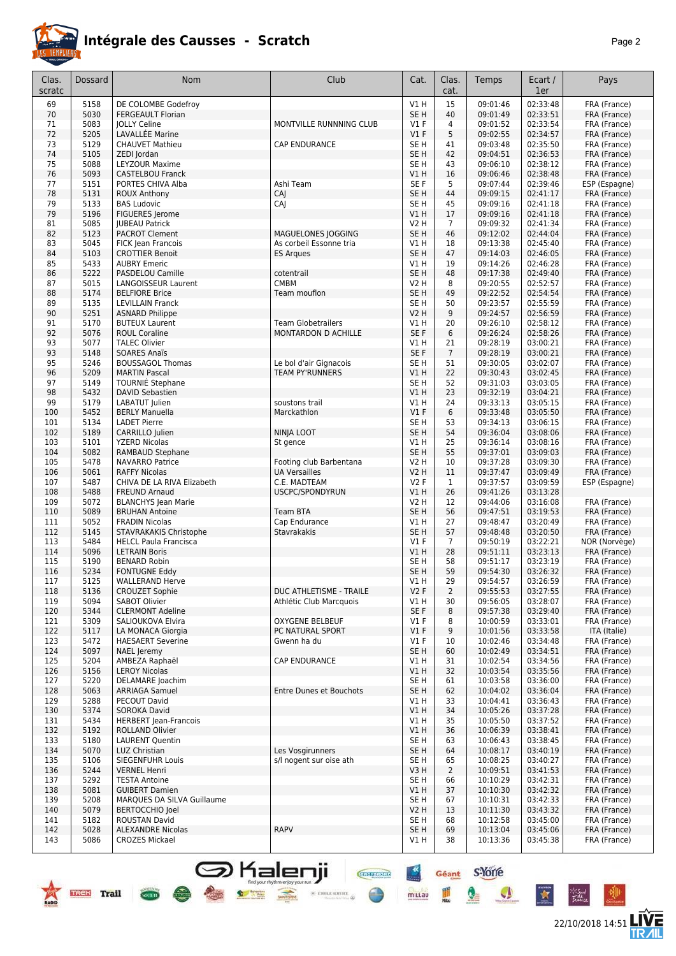

### **Intégrale des Causses - Scratch** *Page 2*

| Clas.      | Dossard      | Nom                                         | Club                                          | Cat.                           | Clas.                | Temps                | Ecart /              | Pays                         |
|------------|--------------|---------------------------------------------|-----------------------------------------------|--------------------------------|----------------------|----------------------|----------------------|------------------------------|
| scratc     |              |                                             |                                               |                                | cat.                 |                      | 1er                  |                              |
| 69         | 5158         | DE COLOMBE Godefroy                         |                                               | V1H                            | 15                   | 09:01:46             | 02:33:48             | FRA (France)                 |
| 70         | 5030         | <b>FERGEAULT Florian</b>                    |                                               | SE <sub>H</sub>                | 40                   | 09:01:49             | 02:33:51             | FRA (France)                 |
| 71<br>72   | 5083<br>5205 | <b>JOLLY Celine</b><br>LAVALLÉE Marine      | MONTVILLE RUNNNING CLUB                       | $VI$ F<br>$VI$ F               | 4<br>5               | 09:01:52<br>09:02:55 | 02:33:54<br>02:34:57 | FRA (France)<br>FRA (France) |
| 73         | 5129         | <b>CHAUVET Mathieu</b>                      | <b>CAP ENDURANCE</b>                          | SE <sub>H</sub>                | 41                   | 09:03:48             | 02:35:50             | FRA (France)                 |
| 74         | 5105         | ZEDI Jordan                                 |                                               | SE <sub>H</sub>                | 42                   | 09:04:51             | 02:36:53             | FRA (France)                 |
| 75         | 5088         | LEYZOUR Maxime                              |                                               | SE <sub>H</sub>                | 43                   | 09:06:10             | 02:38:12             | FRA (France)                 |
| 76         | 5093         | <b>CASTELBOU Franck</b>                     |                                               | V1 H                           | 16                   | 09:06:46             | 02:38:48             | FRA (France)                 |
| 77         | 5151         | PORTES CHIVA Alba                           | Ashi Team                                     | SE F                           | 5                    | 09:07:44             | 02:39:46             | ESP (Espagne)                |
| 78         | 5131         | <b>ROUX Anthony</b>                         | CAI                                           | SE <sub>H</sub>                | 44                   | 09:09:15             | 02:41:17             | FRA (France)                 |
| 79         | 5133         | <b>BAS Ludovic</b>                          | CAJ                                           | SE H                           | 45                   | 09:09:16             | 02:41:18             | FRA (France)                 |
| 79         | 5196         | FIGUERES Jerome                             |                                               | V1 H                           | 17                   | 09:09:16             | 02:41:18             | FRA (France)                 |
| 81         | 5085         | <b>IUBEAU Patrick</b>                       |                                               | V2 H                           | $\overline{7}$       | 09:09:32             | 02:41:34             | FRA (France)                 |
| 82<br>83   | 5123<br>5045 | <b>PACROT Clement</b><br>FICK Jean Francois | MAGUELONES JOGGING<br>As corbeil Essonne tria | SE <sub>H</sub><br>V1 H        | 46<br>18             | 09:12:02<br>09:13:38 | 02:44:04<br>02:45:40 | FRA (France)<br>FRA (France) |
| 84         | 5103         | <b>CROTTIER Benoit</b>                      | <b>ES Arques</b>                              | SE <sub>H</sub>                | 47                   | 09:14:03             | 02:46:05             | FRA (France)                 |
| 85         | 5433         | <b>AUBRY Emeric</b>                         |                                               | V1 H                           | 19                   | 09:14:26             | 02:46:28             | FRA (France)                 |
| 86         | 5222         | PASDELOU Camille                            | cotentrail                                    | SE <sub>H</sub>                | 48                   | 09:17:38             | 02:49:40             | FRA (France)                 |
| 87         | 5015         | LANGOISSEUR Laurent                         | <b>CMBM</b>                                   | V2 H                           | 8                    | 09:20:55             | 02:52:57             | FRA (France)                 |
| 88         | 5174         | <b>BELFIORE Brice</b>                       | Team mouflon                                  | SE <sub>H</sub>                | 49                   | 09:22:52             | 02:54:54             | FRA (France)                 |
| 89         | 5135         | <b>LEVILLAIN Franck</b>                     |                                               | SE H                           | 50                   | 09:23:57             | 02:55:59             | FRA (France)                 |
| 90         | 5251         | <b>ASNARD Philippe</b>                      |                                               | V2 H                           | 9                    | 09:24:57             | 02:56:59             | FRA (France)                 |
| 91         | 5170         | <b>BUTEUX Laurent</b>                       | <b>Team Globetrailers</b>                     | V1 H                           | 20                   | 09:26:10             | 02:58:12             | FRA (France)                 |
| 92         | 5076         | <b>ROUL Coraline</b>                        | MONTARDON D ACHILLE                           | SE F                           | 6                    | 09:26:24<br>09:28:19 | 02:58:26             | FRA (France)                 |
| 93<br>93   | 5077<br>5148 | <b>TALEC Olivier</b><br><b>SOARES Anaïs</b> |                                               | V1 H<br>SE F                   | 21<br>$\overline{7}$ | 09:28:19             | 03:00:21<br>03:00:21 | FRA (France)<br>FRA (France) |
| 95         | 5246         | <b>BOUSSAGOL Thomas</b>                     | Le bol d'air Gignacois                        | SE <sub>H</sub>                | 51                   | 09:30:05             | 03:02:07             | FRA (France)                 |
| 96         | 5209         | <b>MARTIN Pascal</b>                        | <b>TEAM PY'RUNNERS</b>                        | VIH                            | 22                   | 09:30:43             | 03:02:45             | FRA (France)                 |
| 97         | 5149         | TOURNIE Stephane                            |                                               | SE <sub>H</sub>                | 52                   | 09:31:03             | 03:03:05             | FRA (France)                 |
| 98         | 5432         | <b>DAVID Sebastien</b>                      |                                               | V1 H                           | 23                   | 09:32:19             | 03:04:21             | FRA (France)                 |
| 99         | 5179         | LABATUT Julien                              | soustons trail                                | V1 H                           | 24                   | 09:33:13             | 03:05:15             | FRA (France)                 |
| 100        | 5452         | <b>BERLY Manuella</b>                       | Marckathlon                                   | V1F                            | 6                    | 09:33:48             | 03:05:50             | FRA (France)                 |
| 101        | 5134         | <b>LADET Pierre</b>                         |                                               | SE H                           | 53                   | 09:34:13             | 03:06:15             | FRA (France)                 |
| 102        | 5189         | CARRILLO Julien                             | NINJA LOOT                                    | SE <sub>H</sub>                | 54                   | 09:36:04             | 03:08:06             | FRA (France)                 |
| 103        | 5101         | <b>YZERD Nicolas</b>                        | St gence                                      | V1 H                           | 25                   | 09:36:14             | 03:08:16             | FRA (France)                 |
| 104<br>105 | 5082<br>5478 | RAMBAUD Stephane<br><b>NAVARRO Patrice</b>  | Footing club Barbentana                       | SE <sub>H</sub><br><b>V2 H</b> | 55<br>10             | 09:37:01<br>09:37:28 | 03:09:03<br>03:09:30 | FRA (France)<br>FRA (France) |
| 106        | 5061         | <b>RAFFY Nicolas</b>                        | <b>UA Versailles</b>                          | V2 H                           | 11                   | 09:37:47             | 03:09:49             | FRA (France)                 |
| 107        | 5487         | CHIVA DE LA RIVA Elizabeth                  | C.E. MADTEAM                                  | V2F                            | $\mathbf{1}$         | 09:37:57             | 03:09:59             | ESP (Espagne)                |
| 108        | 5488         | <b>FREUND Arnaud</b>                        | USCPC/SPONDYRUN                               | VIH                            | 26                   | 09:41:26             | 03:13:28             |                              |
| 109        | 5072         | <b>BLANCHYS Jean Marie</b>                  |                                               | V2 H                           | 12                   | 09:44:06             | 03:16:08             | FRA (France)                 |
| 110        | 5089         | <b>BRUHAN Antoine</b>                       | <b>Team BTA</b>                               | SE <sub>H</sub>                | 56                   | 09:47:51             | 03:19:53             | FRA (France)                 |
| 111        | 5052         | <b>FRADIN Nicolas</b>                       | Cap Endurance                                 | V1 H                           | 27                   | 09:48:47             | 03:20:49             | FRA (France)                 |
| 112        | 5145         | STAVRAKAKIS Christophe                      | <b>Stavrakakis</b>                            | SE <sub>H</sub>                | 57                   | 09:48:48             | 03:20:50             | FRA (France)                 |
| 113        | 5484         | <b>HELCL Paula Francisca</b>                |                                               | $VI$ F                         | $\overline{7}$       | 09:50:19             | 03:22:21             | NOR (Norvège)                |
| 114<br>115 | 5096<br>5190 | <b>LETRAIN Boris</b><br><b>BENARD Robin</b> |                                               | V1 H<br>SE H                   | 28<br>58             | 09:51:11<br>09:51:17 | 03:23:13<br>03:23:19 | FRA (France)<br>FRA (France) |
| 116        | 5234         | <b>FONTUGNE Eddy</b>                        |                                               | SE <sub>H</sub>                | 59                   | 09:54:30             | 03:26:32             | FRA (France)                 |
| 117        | 5125         | <b>WALLERAND Herve</b>                      |                                               | V1 H                           | 29                   | 09:54:57             | 03:26:59             | FRA (France)                 |
| 118        | 5136         | <b>CROUZET Sophie</b>                       | DUC ATHLETISME - TRAILE                       | V2F                            | $\overline{2}$       | 09:55:53             | 03:27:55             | FRA (France)                 |
| 119        | 5094         | SABOT Olivier                               | Athlétic Club Marcquois                       | V1 H                           | 30                   | 09:56:05             | 03:28:07             | FRA (France)                 |
| 120        | 5344         | <b>CLERMONT Adeline</b>                     |                                               | SE F                           | 8                    | 09:57:38             | 03:29:40             | FRA (France)                 |
| 121        | 5309         | SALIOUKOVA Elvira                           | <b>OXYGENE BELBEUF</b>                        | $VI$ F                         | 8                    | 10:00:59             | 03:33:01             | FRA (France)                 |
| 122        | 5117         | LA MONACA Giorgia                           | PC NATURAL SPORT                              | $VI$ F                         | 9                    | 10:01:56             | 03:33:58             | ITA (Italie)                 |
| 123        | 5472         | <b>HAESAERT Severine</b>                    | Gwenn ha du                                   | $VI$ F                         | 10                   | 10:02:46<br>10:02:49 | 03:34:48<br>03:34:51 | FRA (France)                 |
| 124<br>125 | 5097<br>5204 | NAEL Jeremy<br>AMBEZA Raphaël               | <b>CAP ENDURANCE</b>                          | SE H<br>V1 H                   | 60<br>31             | 10:02:54             | 03:34:56             | FRA (France)<br>FRA (France) |
| 126        | 5156         | <b>LEROY Nicolas</b>                        |                                               | V1 H                           | 32                   | 10:03:54             | 03:35:56             | FRA (France)                 |
| 127        | 5220         | DELAMARE Joachim                            |                                               | SE H                           | 61                   | 10:03:58             | 03:36:00             | FRA (France)                 |
| 128        | 5063         | <b>ARRIAGA Samuel</b>                       | Entre Dunes et Bouchots                       | SE H                           | 62                   | 10:04:02             | 03:36:04             | FRA (France)                 |
| 129        | 5288         | PECOUT David                                |                                               | V1 H                           | 33                   | 10:04:41             | 03:36:43             | FRA (France)                 |
| 130        | 5374         | SOROKA David                                |                                               | V1 H                           | 34                   | 10:05:26             | 03:37:28             | FRA (France)                 |
| 131        | 5434         | <b>HERBERT Jean-Francois</b>                |                                               | V1 H                           | 35                   | 10:05:50             | 03:37:52             | FRA (France)                 |
| 132        | 5192         | ROLLAND Olivier                             |                                               | V1 H                           | 36                   | 10:06:39             | 03:38:41             | FRA (France)                 |
| 133        | 5180         | <b>LAURENT Quentin</b>                      |                                               | SE H                           | 63                   | 10:06:43             | 03:38:45             | FRA (France)                 |
| 134        | 5070         | LUZ Christian                               | Les Vosgirunners                              | SE H                           | 64                   | 10:08:17             | 03:40:19             | FRA (France)                 |
| 135<br>136 | 5106<br>5244 | SIEGENFUHR Louis<br><b>VERNEL Henri</b>     | s/l nogent sur oise ath                       | SE H<br>V3H                    | 65<br>$\overline{2}$ | 10:08:25<br>10:09:51 | 03:40:27<br>03:41:53 | FRA (France)<br>FRA (France) |
| 137        | 5292         | <b>TESTA Antoine</b>                        |                                               | SE H                           | 66                   | 10:10:29             | 03:42:31             | FRA (France)                 |
| 138        | 5081         | <b>GUIBERT Damien</b>                       |                                               | V1 H                           | 37                   | 10:10:30             | 03:42:32             | FRA (France)                 |
| 139        | 5208         | MARQUES DA SILVA Guillaume                  |                                               | SE H                           | 67                   | 10:10:31             | 03:42:33             | FRA (France)                 |
| 140        | 5079         | <b>BERTOCCHIO Joel</b>                      |                                               | V2 H                           | 13                   | 10:11:30             | 03:43:32             | FRA (France)                 |
| 141        | 5182         | ROUSTAN David                               |                                               | SE H                           | 68                   | 10:12:58             | 03:45:00             | FRA (France)                 |
| 142        | 5028         | <b>ALEXANDRE Nicolas</b>                    | <b>RAPV</b>                                   | SE H                           | 69                   | 10:13:04             | 03:45:06             | FRA (France)                 |
| 143        | 5086         | <b>CROZES Mickael</b>                       |                                               | V1 H                           | 38                   | 10:13:36             | 03:45:38             | FRA (France)                 |

**S** Kalenji

 $\bullet$ 

 $\frac{1}{\sqrt{1-\frac{1}{2}}\sqrt{1-\frac{1}{2}}\sqrt{1-\frac{1}{2}}\sqrt{1-\frac{1}{2}}\sqrt{1-\frac{1}{2}}\sqrt{1-\frac{1}{2}}\sqrt{1-\frac{1}{2}}\sqrt{1-\frac{1}{2}}\sqrt{1-\frac{1}{2}}\sqrt{1-\frac{1}{2}}\sqrt{1-\frac{1}{2}}\sqrt{1-\frac{1}{2}}\sqrt{1-\frac{1}{2}}\sqrt{1-\frac{1}{2}}\sqrt{1-\frac{1}{2}}\sqrt{1-\frac{1}{2}}\sqrt{1-\frac{1}{2}}\sqrt{1-\frac{1}{2}}\sqrt{1-\frac{1}{2}}\sqrt{1-\frac$ 



**LIVE<br>TR***A***IL** 

Géant S-Yorre

Q

I

 $\mathcal{L}$ 

 $\frac{4x}{x}$ 

millau

**CHEFFIORE** 

 $\times$  etoile service  $\oplus$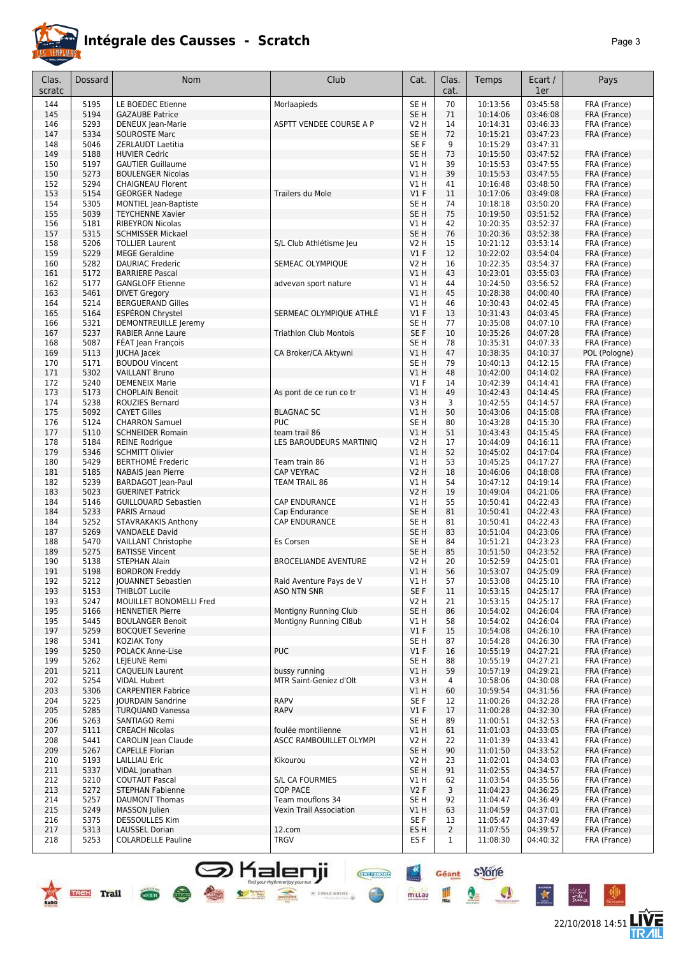

## **Intégrale des Causses - Scratch**

|--|--|

22/10/2018 14:51 **LIVE** 

| Clas.<br>scratc | <b>Dossard</b>              | <b>Nom</b>                                             | Club                                            | Cat.                    | Clas.<br>cat.  | Temps                | Ecart /<br>1er       | Pays                         |
|-----------------|-----------------------------|--------------------------------------------------------|-------------------------------------------------|-------------------------|----------------|----------------------|----------------------|------------------------------|
|                 |                             |                                                        |                                                 |                         |                |                      |                      |                              |
| 144             | 5195                        | LE BOEDEC Etienne                                      | Morlaapieds                                     | SE <sub>H</sub>         | 70             | 10:13:56             | 03:45:58             | FRA (France)                 |
| 145             | 5194                        | <b>GAZAUBE Patrice</b>                                 |                                                 | SE <sub>H</sub>         | 71             | 10:14:06             | 03:46:08             | FRA (France)                 |
| 146             | 5293                        | DENEUX Jean-Marie                                      | ASPTT VENDEE COURSE A P                         | V2 H                    | 14             | 10:14:31             | 03:46:33             | FRA (France)                 |
| 147             | 5334                        | <b>SOUROSTE Marc</b>                                   |                                                 | SE <sub>H</sub>         | 72             | 10:15:21             | 03:47:23             | FRA (France)                 |
| 148             | 5046                        | ZERLAUDT Laetitia                                      |                                                 | SE F                    | 9              | 10:15:29             | 03:47:31             |                              |
| 149             | 5188                        | <b>HUVIER Cedric</b>                                   |                                                 | SE <sub>H</sub>         | 73             | 10:15:50             | 03:47:52             | FRA (France)                 |
| 150<br>150      | 5197<br>5273                | <b>GAUTIER Guillaume</b><br><b>BOULENGER Nicolas</b>   |                                                 | V1 H<br>VIH             | 39<br>39       | 10:15:53<br>10:15:53 | 03:47:55<br>03:47:55 | FRA (France)<br>FRA (France) |
| 152             | 5294                        | <b>CHAIGNEAU Florent</b>                               |                                                 | <b>V1 H</b>             | 41             | 10:16:48             | 03:48:50             | FRA (France)                 |
| 153             | 5154                        | <b>GEORGER Nadege</b>                                  | <b>Trailers du Mole</b>                         | $VI$ F                  | 11             | 10:17:06             | 03:49:08             | FRA (France)                 |
| 154             | 5305                        | <b>MONTIEL Jean-Baptiste</b>                           |                                                 | SE <sub>H</sub>         | 74             | 10:18:18             | 03:50:20             | FRA (France)                 |
| 155             | 5039                        | <b>TEYCHENNE Xavier</b>                                |                                                 | SE <sub>H</sub>         | 75             | 10:19:50             | 03:51:52             | FRA (France)                 |
| 156             | 5181                        | <b>RIBEYRON Nicolas</b>                                |                                                 | V1H                     | 42             | 10:20:35             | 03:52:37             | FRA (France)                 |
| 157             | 5315                        | <b>SCHMISSER Mickael</b>                               |                                                 | SE <sub>H</sub>         | 76             | 10:20:36             | 03:52:38             | FRA (France)                 |
| 158             | 5206                        | <b>TOLLIER Laurent</b>                                 | S/L Club Athlétisme Jeu                         | V2 H                    | 15             | 10:21:12             | 03:53:14             | FRA (France)                 |
| 159             | 5229                        | <b>MEGE Geraldine</b>                                  |                                                 | V1F                     | 12             | 10:22:02             | 03:54:04             | FRA (France)                 |
| 160             | 5282                        | <b>DAURIAC Frederic</b>                                | SEMEAC OLYMPIQUE                                | V2 H                    | 16             | 10:22:35             | 03:54:37             | FRA (France)                 |
| 161             | 5172                        | <b>BARRIERE Pascal</b>                                 |                                                 | V1 H                    | 43             | 10:23:01             | 03:55:03             | FRA (France)                 |
| 162             | 5177                        | <b>GANGLOFF Etienne</b>                                | advevan sport nature                            | V1 H                    | 44             | 10:24:50             | 03:56:52             | FRA (France)                 |
| 163             | 5461                        | <b>DIVET Gregory</b>                                   |                                                 | VIH                     | 45             | 10:28:38             | 04:00:40             | FRA (France)                 |
| 164             | 5214                        | <b>BERGUERAND Gilles</b>                               |                                                 | V1 H                    | 46             | 10:30:43             | 04:02:45             | FRA (France)                 |
| 165             | 5164                        | <b>ESPÉRON Chrystel</b>                                | SERMEAC OLYMPIQUE ATHLÉ                         | $VI$ F                  | 13             | 10:31:43             | 04:03:45             | FRA (France)                 |
| 166             | 5321<br>5237                | DEMONTREUILLE Jeremy<br><b>RABIER Anne Laure</b>       | <b>Triathlon Club Montois</b>                   | SE H<br>SE F            | 77<br>10       | 10:35:08<br>10:35:26 | 04:07:10<br>04:07:28 | FRA (France)                 |
| 167<br>168      | 5087                        | FÉAT Jean François                                     |                                                 | SE <sub>H</sub>         | 78             | 10:35:31             | 04:07:33             | FRA (France)<br>FRA (France) |
| 169             | 5113                        | <b>JUCHA Jacek</b>                                     | CA Broker/CA Aktywni                            | V1H                     | 47             | 10:38:35             | 04:10:37             | POL (Pologne)                |
| 170             | 5171                        | <b>BOUDOU Vincent</b>                                  |                                                 | SE H                    | 79             | 10:40:13             | 04:12:15             | FRA (France)                 |
| 171             | 5302                        | <b>VAILLANT Bruno</b>                                  |                                                 | VIH                     | 48             | 10:42:00             | 04:14:02             | FRA (France)                 |
| 172             | 5240                        | <b>DEMENEIX Marie</b>                                  |                                                 | $VI$ F                  | 14             | 10:42:39             | 04:14:41             | FRA (France)                 |
| 173             | 5173                        | <b>CHOPLAIN Benoit</b>                                 | As pont de ce run co tr                         | VIH                     | 49             | 10:42:43             | 04:14:45             | FRA (France)                 |
| 174             | 5238                        | ROUZIES Bernard                                        |                                                 | V3H                     | 3              | 10:42:55             | 04:14:57             | FRA (France)                 |
| 175             | 5092                        | <b>CAYET Gilles</b>                                    | <b>BLAGNAC SC</b>                               | V1H                     | 50             | 10:43:06             | 04:15:08             | FRA (France)                 |
| 176             | 5124                        | <b>CHARRON Samuel</b>                                  | <b>PUC</b>                                      | SE <sub>H</sub>         | 80             | 10:43:28             | 04:15:30             | FRA (France)                 |
| 177             | 5110                        | <b>SCHNEIDER Romain</b>                                | team trail 86                                   | VIH                     | 51             | 10:43:43             | 04:15:45             | FRA (France)                 |
| 178             | 5184                        | <b>REINE Rodrigue</b>                                  | LES BAROUDEURS MARTINIQ                         | <b>V2 H</b>             | 17             | 10:44:09             | 04:16:11             | FRA (France)                 |
| 179             | 5346                        | <b>SCHMITT Olivier</b>                                 |                                                 | VIH                     | 52             | 10:45:02             | 04:17:04             | FRA (France)                 |
| 180             | 5429                        | <b>BERTHOMÉ Frederic</b>                               | Team train 86                                   | V1 H                    | 53             | 10:45:25             | 04:17:27             | FRA (France)                 |
| 181<br>182      | 5185<br>5239                | <b>NABAIS</b> Jean Pierre<br><b>BARDAGOT</b> Jean-Paul | CAP VEYRAC<br>TEAM TRAIL 86                     | <b>V2 H</b><br>V1H      | 18<br>54       | 10:46:06<br>10:47:12 | 04:18:08<br>04:19:14 | FRA (France)<br>FRA (France) |
| 183             | 5023                        | <b>GUERINET Patrick</b>                                |                                                 | V2 H                    | 19             | 10:49:04             | 04:21:06             | FRA (France)                 |
| 184             | 5146                        | <b>GUILLOUARD Sebastien</b>                            | <b>CAP ENDURANCE</b>                            | V1 H                    | 55             | 10:50:41             | 04:22:43             | FRA (France)                 |
| 184             | 5233                        | <b>PARIS Arnaud</b>                                    | Cap Endurance                                   | SE <sub>H</sub>         | 81             | 10:50:41             | 04:22:43             | FRA (France)                 |
| 184             | 5252                        | STAVRAKAKIS Anthony                                    | <b>CAP ENDURANCE</b>                            | SE H                    | 81             | 10:50:41             | 04:22:43             | FRA (France)                 |
| 187             | 5269                        | <b>VANDAELE David</b>                                  |                                                 | SE <sub>H</sub>         | 83             | 10:51:04             | 04:23:06             | FRA (France)                 |
| 188             | 5470                        | <b>VAILLANT Christophe</b>                             | Es Corsen                                       | SE <sub>H</sub>         | 84             | 10:51:21             | 04:23:23             | FRA (France)                 |
| 189             | 5275                        | <b>BATISSE Vincent</b>                                 |                                                 | SE <sub>H</sub>         | 85             | 10:51:50             | 04:23:52             | FRA (France)                 |
| 190             | 5138                        | <b>STEPHAN Alain</b>                                   | <b>BROCELIANDE AVENTURE</b>                     | V2 H                    | 20             | 10:52:59             | 04:25:01             | FRA (France)                 |
| 191             | 5198                        | <b>BORDRON Freddy</b>                                  |                                                 | VIH                     | 56             | 10:53:07             | 04:25:09             | FRA (France)                 |
| 192             | 5212                        | JOUANNET Sebastien                                     | Raid Aventure Pays de V                         | V1H                     | 57             | 10:53:08             | 04:25:10             | FRA (France)                 |
| 193             | 5153                        | <b>THIBLOT Lucile</b>                                  | <b>ASO NTN SNR</b>                              | SE F                    | 11             | 10:53:15             | 04:25:17             | FRA (France)                 |
| 193             | 5247                        | MOUILLET BONOMELLI Fred                                |                                                 | V2 H                    | 21             | 10:53:15             | 04:25:17             | FRA (France)                 |
| 195             | 5166<br>5445                | <b>HENNETIER Pierre</b>                                | Montigny Running Club<br>Montigny Running Cl8ub | SE <sub>H</sub><br>VIH  | 86<br>58       | 10:54:02             | 04:26:04             | FRA (France)                 |
| 195             |                             | <b>BOULANGER Benoit</b>                                |                                                 |                         |                | 10:54:02             | 04:26:04             | FRA (France)                 |
| 197<br>198      | 5259<br>5341                | <b>BOCQUET Severine</b><br><b>KOZIAK Tony</b>          |                                                 | $VI$ F<br>SE H          | 15<br>87       | 10:54:08<br>10:54:28 | 04:26:10<br>04:26:30 | FRA (France)<br>FRA (France) |
| 199             | 5250                        | POLACK Anne-Lise                                       | <b>PUC</b>                                      | V1F                     | 16             | 10:55:19             | 04:27:21             | FRA (France)                 |
| 199             | 5262                        | LEJEUNE Remi                                           |                                                 | SE <sub>H</sub>         | 88             | 10:55:19             | 04:27:21             | FRA (France)                 |
| 201             | 5211                        | <b>CAQUELIN Laurent</b>                                | bussy running                                   | VIH                     | 59             | 10:57:19             | 04:29:21             | FRA (France)                 |
| 202             | 5254                        | <b>VIDAL Hubert</b>                                    | MTR Saint-Geniez d'Olt                          | V3H                     | 4              | 10:58:06             | 04:30:08             | FRA (France)                 |
| 203             | 5306                        | <b>CARPENTIER Fabrice</b>                              |                                                 | V1H                     | 60             | 10:59:54             | 04:31:56             | FRA (France)                 |
| 204             | 5225                        | <b>JOURDAIN Sandrine</b>                               | <b>RAPV</b>                                     | SE F                    | 12             | 11:00:26             | 04:32:28             | FRA (France)                 |
| 205             | 5285                        | <b>TURQUAND Vanessa</b>                                | <b>RAPV</b>                                     | V1F                     | 17             | 11:00:28             | 04:32:30             | FRA (France)                 |
| 206             | 5263                        | SANTIAGO Remi                                          |                                                 | SE <sub>H</sub>         | 89             | 11:00:51             | 04:32:53             | FRA (France)                 |
| 207             | 5111                        | <b>CREACH Nicolas</b>                                  | foulée montilienne                              | VIH                     | 61             | 11:01:03             | 04:33:05             | FRA (France)                 |
| 208             | 5441                        | CAROLIN Jean Claude                                    | ASCC RAMBOUILLET OLYMPI                         | V2 H                    | 22             | 11:01:39             | 04:33:41             | FRA (France)                 |
| 209             | 5267                        | <b>CAPELLE Florian</b>                                 |                                                 | SE <sub>H</sub>         | 90             | 11:01:50             | 04:33:52             | FRA (France)                 |
| 210             | 5193                        | <b>LAILLIAU Eric</b>                                   | Kikourou                                        | V <sub>2</sub> H        | 23             | 11:02:01             | 04:34:03             | FRA (France)                 |
| 211<br>212      | 5337<br>5210                | VIDAL Jonathan<br><b>COUTAUT Pascal</b>                | S/L CA FOURMIES                                 | SE <sub>H</sub><br>V1 H | 91<br>62       | 11:02:55<br>11:03:54 | 04:34:57<br>04:35:56 | FRA (France)<br>FRA (France) |
| 213             | 5272                        | <b>STEPHAN Fabienne</b>                                | <b>COP PACE</b>                                 | V2F                     | 3              | 11:04:23             | 04:36:25             | FRA (France)                 |
| 214             | 5257                        | <b>DAUMONT Thomas</b>                                  | Team mouflons 34                                | SE <sub>H</sub>         | 92             | 11:04:47             | 04:36:49             | FRA (France)                 |
| 215             | 5249                        | MASSON Julien                                          | <b>Vexin Trail Association</b>                  | V1 H                    | 63             | 11:04:59             | 04:37:01             | FRA (France)                 |
| 216             | 5375                        | <b>DESSOULLES Kim</b>                                  |                                                 | SE F                    | 13             | 11:05:47             | 04:37:49             | FRA (France)                 |
| 217             | 5313                        | <b>LAUSSEL Dorian</b>                                  | 12.com                                          | ES H                    | $\overline{2}$ | 11:07:55             | 04:39:57             | FRA (France)                 |
| 218             | 5253                        | <b>COLARDELLE Pauline</b>                              | TRGV                                            | ES F                    | $\mathbf{1}$   | 11:08:30             | 04:40:32             | FRA (France)                 |
|                 |                             |                                                        |                                                 |                         |                |                      |                      |                              |
|                 |                             |                                                        |                                                 |                         |                |                      |                      |                              |
|                 |                             |                                                        | <b>CRCYSPORT</b>                                |                         | Géant          | <b>s'Yorre</b>       |                      |                              |
|                 |                             |                                                        | find your rhythm enjoy your run                 |                         |                |                      |                      |                              |
|                 | <b>Trail</b><br><b>TREK</b> | societe.                                               | 36 ETOILE SERVICE                               | millau                  |                | V                    | 女                    | *Sud<br>Tidhice              |
|                 |                             |                                                        |                                                 |                         |                |                      |                      |                              |

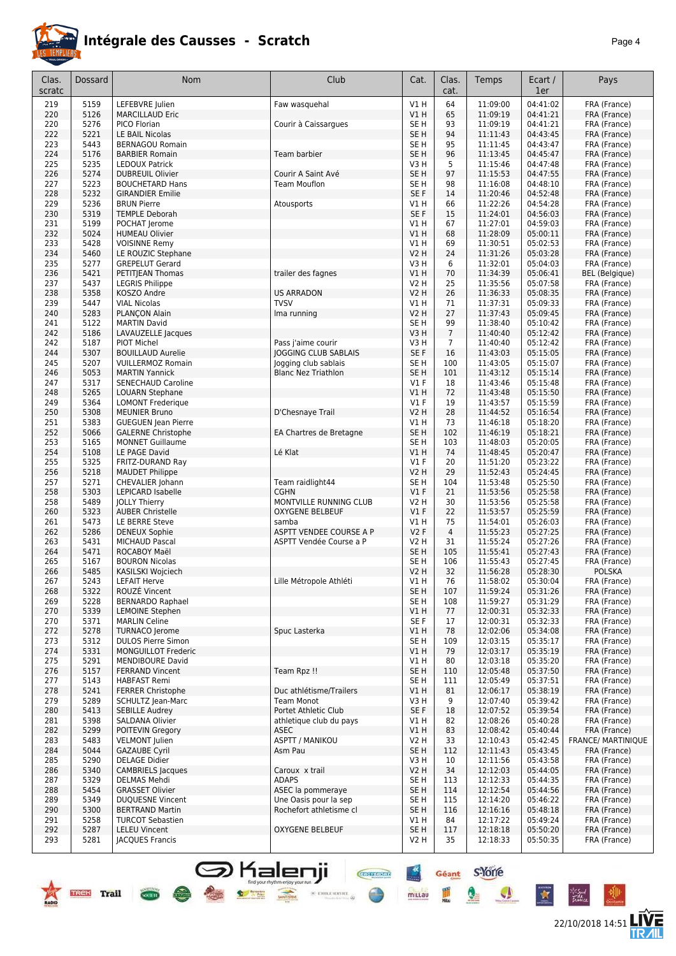

### **Intégrale des Causses - Scratch** *Page 4*

| Clas.<br>scratc | <b>Dossard</b> | <b>Nom</b>                 | Club                        | Cat.            | Clas.<br>cat.  | Temps    | Ecart /<br>1er | Pays                      |
|-----------------|----------------|----------------------------|-----------------------------|-----------------|----------------|----------|----------------|---------------------------|
|                 |                |                            |                             |                 |                |          |                |                           |
| 219             | 5159           | LEFEBVRE Julien            | Faw wasquehal               | VIH             | 64             | 11:09:00 | 04:41:02       | FRA (France)              |
| 220             | 5126           | <b>MARCILLAUD Eric</b>     |                             | VIH             | 65             | 11:09:19 | 04:41:21       | FRA (France)              |
| 220             | 5276           | PICO Florian               | Courir à Caissargues        | SE H            | 93             | 11:09:19 | 04:41:21       | FRA (France)              |
| 222             | 5221           | LE BAIL Nicolas            |                             | SE H            | 94             | 11:11:43 | 04:43:45       | FRA (France)              |
| 223             | 5443           | <b>BERNAGOU Romain</b>     |                             | SE H            | 95             | 11:11:45 | 04:43:47       | FRA (France)              |
| 224             | 5176           | <b>BARBIER Romain</b>      | Team barbier                | SE <sub>H</sub> | 96             | 11:13:45 | 04:45:47       | FRA (France)              |
| 225             | 5235           | <b>LEDOUX Patrick</b>      |                             | V3H             | 5              | 11:15:46 | 04:47:48       | FRA (France)              |
| 226             | 5274           | <b>DUBREUIL Olivier</b>    | Courir A Saint Avé          | SE <sub>H</sub> | 97             | 11:15:53 | 04:47:55       | FRA (France)              |
| 227             | 5223           | <b>BOUCHETARD Hans</b>     | <b>Team Mouflon</b>         | SE H            | 98             | 11:16:08 | 04:48:10       | FRA (France)              |
| 228             | 5232           | <b>GIRANDIER Emilie</b>    |                             | SE F            | 14             | 11:20:46 | 04:52:48       | FRA (France)              |
| 229             | 5236           | <b>BRUN Pierre</b>         | Atousports                  | V1 H            | 66             | 11:22:26 | 04:54:28       | FRA (France)              |
| 230             | 5319           | <b>TEMPLE Deborah</b>      |                             | SE F            | 15             | 11:24:01 | 04:56:03       | FRA (France)              |
| 231             | 5199           | POCHAT Jerome              |                             | VIH             | 67             | 11:27:01 | 04:59:03       | FRA (France)              |
| 232             | 5024           | <b>HUMEAU Olivier</b>      |                             | VIH             | 68             | 11:28:09 | 05:00:11       | FRA (France)              |
| 233             | 5428           | <b>VOISINNE Remy</b>       |                             | V1 H            | 69             | 11:30:51 | 05:02:53       | FRA (France)              |
| 234             | 5460           | LE ROUZIC Stephane         |                             | V2 H            | 24             | 11:31:26 | 05:03:28       | FRA (France)              |
| 235             | 5277           | <b>GREPELUT Gerard</b>     |                             | V3H             | 6              | 11:32:01 | 05:04:03       | FRA (France)              |
| 236             | 5421           | PETITJEAN Thomas           | trailer des fagnes          | V1H             | 70             | 11:34:39 | 05:06:41       | BEL (Belgique)            |
| 237             | 5437           | <b>LEGRIS Philippe</b>     |                             | V2 H            | 25             | 11:35:56 | 05:07:58       | FRA (France)              |
| 238             | 5358           | KOSZO Andre                | <b>US ARRADON</b>           | <b>V2 H</b>     | 26             | 11:36:33 | 05:08:35       | FRA (France)              |
| 239             | 5447           | <b>VIAL Nicolas</b>        | <b>TVSV</b>                 | V1 H            | 71             | 11:37:31 | 05:09:33       | FRA (France)              |
| 240             | 5283           | PLANÇON Alain              | Ima running                 | <b>V2 H</b>     | 27             | 11:37:43 | 05:09:45       | FRA (France)              |
| 241             | 5122           | <b>MARTIN David</b>        |                             | SE <sub>H</sub> | 99             | 11:38:40 | 05:10:42       | FRA (France)              |
| 242             | 5186           | LAVAUZELLE Jacques         |                             | V3H             | $\overline{7}$ | 11:40:40 | 05:12:42       | FRA (France)              |
| 242             | 5187           | <b>PIOT Michel</b>         | Pass j'aime courir          | V3H             | 7              | 11:40:40 | 05:12:42       | FRA (France)              |
| 244             | 5307           | <b>BOUILLAUD Aurelie</b>   | <b>JOGGING CLUB SABLAIS</b> | SE F            | 16             | 11:43:03 | 05:15:05       | FRA (France)              |
| 245             | 5207           | <b>VUILLERMOZ Romain</b>   | Jogging club sablais        | SE H            | 100            | 11:43:05 | 05:15:07       | FRA (France)              |
| 246             | 5053           | <b>MARTIN Yannick</b>      | <b>Blanc Nez Triathlon</b>  | SE <sub>H</sub> | 101            | 11:43:12 | 05:15:14       | FRA (France)              |
| 247             | 5317           | SENECHAUD Caroline         |                             | $VI$ F          | 18             | 11:43:46 | 05:15:48       | FRA (France)              |
| 248             | 5265           | <b>LOUARN Stephane</b>     |                             | V1 H            | 72             | 11:43:48 | 05:15:50       | FRA (France)              |
| 249             | 5364           | <b>LOMONT Frederique</b>   |                             | $VI$ F          | 19             | 11:43:57 | 05:15:59       | FRA (France)              |
| 250             | 5308           | <b>MEUNIER Bruno</b>       | D'Chesnaye Trail            | <b>V2 H</b>     | 28             | 11:44:52 | 05:16:54       | FRA (France)              |
| 251             | 5383           | <b>GUEGUEN Jean Pierre</b> |                             | V1 H            | 73             | 11:46:18 | 05:18:20       | FRA (France)              |
| 252             | 5066           | <b>GALERNE Christophe</b>  | EA Chartres de Bretagne     | SE <sub>H</sub> | 102            | 11:46:19 | 05:18:21       | FRA (France)              |
| 253             | 5165           | <b>MONNET Guillaume</b>    |                             | SE <sub>H</sub> | 103            | 11:48:03 | 05:20:05       | FRA (France)              |
| 254             | 5108           | LE PAGE David              | Lé Klat                     | VIH             | 74             | 11:48:45 | 05:20:47       | FRA (France)              |
| 255             | 5325           | FRITZ-DURAND Ray           |                             | $VI$ F          | 20             | 11:51:20 | 05:23:22       | FRA (France)              |
| 256             | 5218           | <b>MAUDET Philippe</b>     |                             | <b>V2 H</b>     | 29             | 11:52:43 | 05:24:45       | FRA (France)              |
| 257             | 5271           |                            | Team raidlight44            | SE H            | 104            | 11:53:48 | 05:25:50       |                           |
| 258             | 5303           | CHEVALIER Johann           | <b>CGHN</b>                 | $VI$ F          | 21             | 11:53:56 | 05:25:58       | FRA (France)              |
|                 |                | LEPICARD Isabelle          |                             | V2 H            | 30             |          |                | FRA (France)              |
| 258             | 5489           | JOLLY Thierry              | MONTVILLE RUNNING CLUB      |                 |                | 11:53:56 | 05:25:58       | FRA (France)              |
| 260             | 5323           | <b>AUBER Christelle</b>    | <b>OXYGENE BELBEUF</b>      | $VI$ F          | 22             | 11:53:57 | 05:25:59       | FRA (France)              |
| 261             | 5473           | LE BERRE Steve             | samba                       | V1H             | 75             | 11:54:01 | 05:26:03       | FRA (France)              |
| 262             | 5286           | <b>DENEUX Sophie</b>       | ASPTT VENDEE COURSE A P     | V2F             | $\overline{4}$ | 11:55:23 | 05:27:25       | FRA (France)              |
| 263             | 5431           | <b>MICHAUD Pascal</b>      | ASPTT Vendée Course a P     | V2 H            | 31             | 11:55:24 | 05:27:26       | FRA (France)              |
| 264             | 5471           | ROCABOY Maël               |                             | SE <sub>H</sub> | 105            | 11:55:41 | 05:27:43       | FRA (France)              |
| 265             | 5167           | <b>BOURON Nicolas</b>      |                             | SE H            | 106            | 11:55:43 | 05:27:45       | FRA (France)              |
| 266             | 5485           | KASILSKI Wojciech          |                             | V2 H            | 32             | 11:56:28 | 05:28:30       | <b>POLSKA</b>             |
| 267             | 5243           | <b>LEFAIT Herve</b>        | Lille Métropole Athléti     | V1 H            | 76             | 11:58:02 | 05:30:04       | FRA (France)              |
| 268             | 5322           | ROUZE Vincent              |                             | SE H            | 107            | 11:59:24 | 05:31:26       | FRA (France)              |
| 269             | 5228           | <b>BERNARDO Raphael</b>    |                             | SE H            | 108            | 11:59:27 | 05:31:29       | FRA (France)              |
| 270             | 5339           | <b>LEMOINE Stephen</b>     |                             | V1 H            | 77             | 12:00:31 | 05:32:33       | FRA (France)              |
| 270             | 5371           | <b>MARLIN Celine</b>       |                             | SE F            | 17             | 12:00:31 | 05:32:33       | FRA (France)              |
| 272             | 5278           | <b>TURNACO Jerome</b>      | Spuc Lasterka               | V1 H            | 78             | 12:02:06 | 05:34:08       | FRA (France)              |
| 273             | 5312           | <b>DULOS Pierre Simon</b>  |                             | SE H            | 109            | 12:03:15 | 05:35:17       | FRA (France)              |
| 274             | 5331           | MONGUILLOT Frederic        |                             | V1 H            | 79             | 12:03:17 | 05:35:19       | FRA (France)              |
| 275             | 5291           | <b>MENDIBOURE David</b>    |                             | VIH             | 80             | 12:03:18 | 05:35:20       | FRA (France)              |
| 276             | 5157           | <b>FERRAND Vincent</b>     | Team Rpz !!                 | SE H            | 110            | 12:05:48 | 05:37:50       | FRA (France)              |
| 277             | 5143           | <b>HABFAST Remi</b>        |                             | SE H            | 111            | 12:05:49 | 05:37:51       | FRA (France)              |
| 278             | 5241           | <b>FERRER Christophe</b>   | Duc athlétisme/Trailers     | V1 H            | 81             | 12:06:17 | 05:38:19       | FRA (France)              |
| 279             | 5289           | SCHULTZ Jean-Marc          | <b>Team Monot</b>           | V3H             | 9              | 12:07:40 | 05:39:42       | FRA (France)              |
| 280             | 5413           | <b>SEBILLE Audrey</b>      | Portet Athletic Club        | SE F            | 18             | 12:07:52 | 05:39:54       | FRA (France)              |
| 281             | 5398           | SALDANA Olivier            | athletique club du pays     | V1 H            | 82             | 12:08:26 | 05:40:28       | FRA (France)              |
| 282             | 5299           | POITEVIN Gregory           | <b>ASEC</b>                 | V1 H            | 83             | 12:08:42 | 05:40:44       | FRA (France)              |
| 283             | 5483           | <b>VELMONT</b> Julien      | <b>ASPTT / MANIKOU</b>      | V2 H            | 33             | 12:10:43 | 05:42:45       | <b>FRANCE/ MARTINIQUE</b> |
| 284             | 5044           | <b>GAZAUBE Cyril</b>       | Asm Pau                     | SE H            | 112            | 12:11:43 | 05:43:45       | FRA (France)              |
| 285             | 5290           | <b>DELAGE Didier</b>       |                             | V3 H            | 10             | 12:11:56 | 05:43:58       | FRA (France)              |
| 286             | 5340           | <b>CAMBRIELS Jacques</b>   | Caroux x trail              | V2 H            | 34             | 12:12:03 | 05:44:05       | FRA (France)              |
| 287             | 5329           | DELMAS Mehdi               | <b>ADAPS</b>                | SE H            | 113            | 12:12:33 | 05:44:35       | FRA (France)              |
| 288             | 5454           | <b>GRASSET Olivier</b>     | ASEC la pommeraye           | SE H            | 114            | 12:12:54 | 05:44:56       | FRA (France)              |
| 289             | 5349           | <b>DUQUESNE Vincent</b>    | Une Oasis pour la sep       | SE H            | 115            | 12:14:20 | 05:46:22       | FRA (France)              |
| 290             | 5300           | <b>BERTRAND Martin</b>     | Rochefort athletisme cl     | SE <sub>H</sub> | 116            | 12:16:16 | 05:48:18       | FRA (France)              |
| 291             | 5258           | <b>TURCOT Sebastien</b>    |                             | V1 H            | 84             | 12:17:22 | 05:49:24       | FRA (France)              |
| 292             | 5287           | <b>LELEU Vincent</b>       | OXYGENE BELBEUF             | SE H            | 117            | 12:18:18 | 05:50:20       | FRA (France)              |
| 293             | 5281           | <b>JACQUES Francis</b>     |                             | V2 H            | 35             | 12:18:33 | 05:50:35       | FRA (France)              |
|                 |                |                            |                             |                 |                |          |                |                           |

**S** Kalenji

**TREE** Trail

 $\frac{1}{\sqrt{1-\frac{1}{2}}\sqrt{1-\frac{1}{2}}\sqrt{1-\frac{1}{2}}\sqrt{1-\frac{1}{2}}\sqrt{1-\frac{1}{2}}\sqrt{1-\frac{1}{2}}\sqrt{1-\frac{1}{2}}\sqrt{1-\frac{1}{2}}\sqrt{1-\frac{1}{2}}\sqrt{1-\frac{1}{2}}\sqrt{1-\frac{1}{2}}\sqrt{1-\frac{1}{2}}\sqrt{1-\frac{1}{2}}\sqrt{1-\frac{1}{2}}\sqrt{1-\frac{1}{2}}\sqrt{1-\frac{1}{2}}\sqrt{1-\frac{1}{2}}\sqrt{1-\frac{1}{2}}\sqrt{1-\frac{1}{2}}\sqrt{1-\frac$ 



22/10/2018 14:51 **LIVE** 

Géant S-Yone

Q

I

 $\mathbf{A}$ 

**CHOY RON** 

 $\times$  etoile server  $\otimes$ 

 $rac{4x}{2}$ 

millau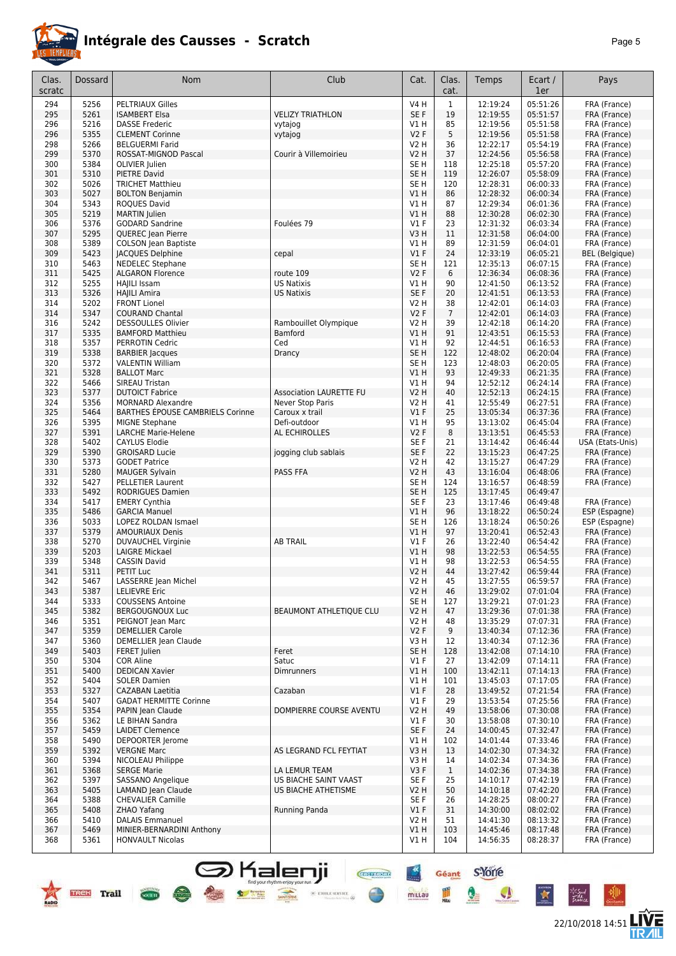

## **Intégrale des Causses - Scratch**

|--|--|

22/10/2018 14:51 **ITVE** 

 $\bullet$ 

X

\*Sud<br>Fattua

| Clas.<br>scratc | Dossard      | Nom                                                 | Club                                               | Cat.                           | Clas.<br>cat.  | Temps                | Ecart /<br>1er       | Pays                         |
|-----------------|--------------|-----------------------------------------------------|----------------------------------------------------|--------------------------------|----------------|----------------------|----------------------|------------------------------|
| 294             | 5256         | <b>PELTRIAUX Gilles</b>                             |                                                    | <b>V4 H</b>                    | $\mathbf{1}$   | 12:19:24             | 05:51:26             | FRA (France)                 |
| 295             | 5261         | <b>ISAMBERT Elsa</b>                                | <b>VELIZY TRIATHLON</b>                            | SE F                           | 19             | 12:19:55             | 05:51:57             | FRA (France)                 |
| 296             | 5216         | <b>DASSE Frederic</b>                               | vytajog                                            | V1H                            | 85             | 12:19:56             | 05:51:58             | FRA (France)                 |
| 296             | 5355<br>5266 | <b>CLEMENT Corinne</b><br><b>BELGUERMI Farid</b>    | vytajog                                            | V2F<br><b>V2 H</b>             | 5<br>36        | 12:19:56<br>12:22:17 | 05:51:58<br>05:54:19 | FRA (France)                 |
| 298<br>299      | 5370         | ROSSAT-MIGNOD Pascal                                | Courir à Villemoirieu                              | <b>V2 H</b>                    | 37             | 12:24:56             | 05:56:58             | FRA (France)<br>FRA (France) |
| 300             | 5384         | OLIVIER Julien                                      |                                                    | SE <sub>H</sub>                | 118            | 12:25:18             | 05:57:20             | FRA (France)                 |
| 301             | 5310         | <b>PIETRE David</b>                                 |                                                    | SE <sub>H</sub>                | 119            | 12:26:07             | 05:58:09             | FRA (France)                 |
| 302             | 5026         | <b>TRICHET Matthieu</b>                             |                                                    | SE H                           | 120            | 12:28:31             | 06:00:33             | FRA (France)                 |
| 303             | 5027         | <b>BOLTON Benjamin</b>                              |                                                    | VIH                            | 86             | 12:28:32             | 06:00:34             | FRA (France)                 |
| 304             | 5343<br>5219 | <b>ROQUES David</b><br><b>MARTIN Julien</b>         |                                                    | V1H                            | 87<br>88       | 12:29:34             | 06:01:36             | FRA (France)                 |
| 305<br>306      | 5376         | <b>GODARD Sandrine</b>                              | Foulées 79                                         | VIH<br>$VI$ F                  | 23             | 12:30:28<br>12:31:32 | 06:02:30<br>06:03:34 | FRA (France)<br>FRA (France) |
| 307             | 5295         | QUEREC Jean Pierre                                  |                                                    | V3H                            | 11             | 12:31:58             | 06:04:00             | FRA (France)                 |
| 308             | 5389         | <b>COLSON Jean Baptiste</b>                         |                                                    | V1 H                           | 89             | 12:31:59             | 06:04:01             | FRA (France)                 |
| 309             | 5423         | <b>JACQUES Delphine</b>                             | cepal                                              | V1F                            | 24             | 12:33:19             | 06:05:21             | <b>BEL</b> (Belgique)        |
| 310             | 5463         | NEDELEC Stephane                                    |                                                    | SE <sub>H</sub>                | 121            | 12:35:13             | 06:07:15             | FRA (France)                 |
| 311             | 5425         | <b>ALGARON Florence</b>                             | route 109                                          | V2F                            | 6              | 12:36:34             | 06:08:36             | FRA (France)                 |
| 312             | 5255         | HAIILI Issam                                        | <b>US Natixis</b>                                  | VIH                            | 90             | 12:41:50             | 06:13:52             | FRA (France)                 |
| 313             | 5326<br>5202 | <b>HAJILI Amira</b>                                 | <b>US Natixis</b>                                  | SE F                           | 20<br>38       | 12:41:51             | 06:13:53<br>06:14:03 | FRA (France)<br>FRA (France) |
| 314<br>314      | 5347         | <b>FRONT Lionel</b><br><b>COURAND Chantal</b>       |                                                    | V2 H<br><b>V2F</b>             | $\overline{7}$ | 12:42:01<br>12:42:01 | 06:14:03             | FRA (France)                 |
| 316             | 5242         | <b>DESSOULLES Olivier</b>                           | Rambouillet Olympique                              | V2 H                           | 39             | 12:42:18             | 06:14:20             | FRA (France)                 |
| 317             | 5335         | <b>BAMFORD Matthieu</b>                             | Bamford                                            | V1H                            | 91             | 12:43:51             | 06:15:53             | FRA (France)                 |
| 318             | 5357         | PERROTIN Cedric                                     | Ced                                                | V1H                            | 92             | 12:44:51             | 06:16:53             | FRA (France)                 |
| 319             | 5338         | <b>BARBIER Jacques</b>                              | Drancy                                             | SE <sub>H</sub>                | 122            | 12:48:02             | 06:20:04             | FRA (France)                 |
| 320             | 5372         | <b>VALENTIN William</b>                             |                                                    | SE <sub>H</sub>                | 123            | 12:48:03             | 06:20:05             | FRA (France)                 |
| 321             | 5328         | <b>BALLOT Marc</b>                                  |                                                    | V1H                            | 93             | 12:49:33             | 06:21:35             | FRA (France)                 |
| 322             | 5466         | SIREAU Tristan                                      |                                                    | <b>V1 H</b>                    | 94             | 12:52:12             | 06:24:14             | FRA (France)                 |
| 323<br>324      | 5377<br>5356 | <b>DUTOICT Fabrice</b><br><b>MORNARD Alexandre</b>  | <b>Association LAURETTE FU</b><br>Never Stop Paris | <b>V2 H</b><br><b>V2 H</b>     | 40<br>41       | 12:52:13<br>12:55:49 | 06:24:15<br>06:27:51 | FRA (France)<br>FRA (France) |
| 325             | 5464         | BARTHES ÉPOUSE CAMBRIELS Corinne                    | Caroux x trail                                     | $VI$ F                         | 25             | 13:05:34             | 06:37:36             | FRA (France)                 |
| 326             | 5395         | <b>MIGNE Stephane</b>                               | Defi-outdoor                                       | V1H                            | 95             | 13:13:02             | 06:45:04             | FRA (France)                 |
| 327             | 5391         | <b>LARCHE Marie-Helene</b>                          | AL ECHIROLLES                                      | V2F                            | 8              | 13:13:51             | 06:45:53             | FRA (France)                 |
| 328             | 5402         | <b>CAYLUS Elodie</b>                                |                                                    | SE <sub>F</sub>                | 21             | 13:14:42             | 06:46:44             | USA (Etats-Unis)             |
| 329             | 5390         | <b>GROISARD Lucie</b>                               | jogging club sablais                               | SE F                           | 22             | 13:15:23             | 06:47:25             | FRA (France)                 |
| 330             | 5373         | <b>GODET Patrice</b>                                |                                                    | <b>V2 H</b>                    | 42             | 13:15:27             | 06:47:29             | FRA (France)                 |
| 331             | 5280         | <b>MAUGER Sylvain</b>                               | PASS FFA                                           | <b>V2 H</b><br>SE <sub>H</sub> | 43<br>124      | 13:16:04             | 06:48:06             | FRA (France)                 |
| 332<br>333      | 5427<br>5492 | <b>PELLETIER Laurent</b><br><b>RODRIGUES Damien</b> |                                                    | SE <sub>H</sub>                | 125            | 13:16:57<br>13:17:45 | 06:48:59<br>06:49:47 | FRA (France)                 |
| 334             | 5417         | <b>EMERY Cynthia</b>                                |                                                    | SE <sub>F</sub>                | 23             | 13:17:46             | 06:49:48             | FRA (France)                 |
| 335             | 5486         | <b>GARCIA Manuel</b>                                |                                                    | V1H                            | 96             | 13:18:22             | 06:50:24             | ESP (Espagne)                |
| 336             | 5033         | LOPEZ ROLDAN Ismael                                 |                                                    | SE <sub>H</sub>                | 126            | 13:18:24             | 06:50:26             | ESP (Espagne)                |
| 337             | 5379         | <b>AMOURIAUX Denis</b>                              |                                                    | V1H                            | 97             | 13:20:41             | 06:52:43             | FRA (France)                 |
| 338             | 5270         | DUVAUCHEL Virginie                                  | <b>AB TRAIL</b>                                    | $VI$ F                         | 26             | 13:22:40             | 06:54:42             | FRA (France)                 |
| 339<br>339      | 5203<br>5348 | <b>LAIGRE Mickael</b>                               |                                                    | VIH<br>V1H                     | 98<br>98       | 13:22:53             | 06:54:55             | FRA (France)                 |
| 341             | 5311         | <b>CASSIN David</b><br>PETIT Luc                    |                                                    | <b>V2 H</b>                    | 44             | 13:22:53<br>13:27:42 | 06:54:55<br>06:59:44 | FRA (France)<br>FRA (France) |
| 342             | 5467         | LASSERRE Jean Michel                                |                                                    | V2 H                           | 45             | 13:27:55             | 06:59:57             | FRA (France)                 |
| 343             | 5387         | <b>LELIEVRE Eric</b>                                |                                                    | V2H                            | 46             | 13:29:02             | 07:01:04             | FRA (France)                 |
| 344             | 5333         | <b>COUSSENS Antoine</b>                             |                                                    | SE <sub>H</sub>                | 127            | 13:29:21             | 07:01:23             | FRA (France)                 |
| 345             | 5382         | <b>BERGOUGNOUX Luc</b>                              | <b>BEAUMONT ATHLETIOUE CLU</b>                     | <b>V2 H</b>                    | 47             | 13:29:36             | 07:01:38             | FRA (France)                 |
| 346             | 5351         | PEIGNOT Jean Marc                                   |                                                    | V2 H                           | 48             | 13:35:29             | 07:07:31             | FRA (France)                 |
| 347<br>347      | 5359<br>5360 | <b>DEMELLIER Carole</b><br>DEMELLIER Jean Claude    |                                                    | V2F<br>V3H                     | 9<br>12        | 13:40:34<br>13:40:34 | 07:12:36<br>07:12:36 | FRA (France)<br>FRA (France) |
| 349             | 5403         | FERET Julien                                        | Feret                                              | SE <sub>H</sub>                | 128            | 13:42:08             | 07:14:10             | FRA (France)                 |
| 350             | 5304         | <b>COR Aline</b>                                    | Satuc                                              | $VI$ F                         | 27             | 13:42:09             | 07:14:11             | FRA (France)                 |
| 351             | 5400         | <b>DEDICAN Xavier</b>                               | <b>Dimrunners</b>                                  | VIH                            | 100            | 13:42:11             | 07:14:13             | FRA (France)                 |
| 352             | 5404         | <b>SOLER Damien</b>                                 |                                                    | V1H                            | 101            | 13:45:03             | 07:17:05             | FRA (France)                 |
| 353             | 5327         | <b>CAZABAN Laetitia</b>                             | Cazaban                                            | $VI$ F                         | 28             | 13:49:52             | 07:21:54             | FRA (France)                 |
| 354             | 5407         | <b>GADAT HERMITTE Corinne</b>                       |                                                    | $VI$ F                         | 29             | 13:53:54             | 07:25:56             | FRA (France)                 |
| 355             | 5354         | PAPIN Jean Claude                                   | DOMPIERRE COURSE AVENTU                            | V2H                            | 49             | 13:58:06             | 07:30:08             | FRA (France)                 |
| 356<br>357      | 5362<br>5459 | LE BIHAN Sandra<br><b>LAIDET Clemence</b>           |                                                    | $VI$ F<br>SE F                 | 30<br>24       | 13:58:08<br>14:00:45 | 07:30:10<br>07:32:47 | FRA (France)<br>FRA (France) |
| 358             | 5490         | DEPOORTER Jerome                                    |                                                    | VIH                            | 102            | 14:01:44             | 07:33:46             | FRA (France)                 |
| 359             | 5392         | <b>VERGNE Marc</b>                                  | AS LEGRAND FCL FEYTIAT                             | V3H                            | 13             | 14:02:30             | 07:34:32             | FRA (France)                 |
| 360             | 5394         | NICOLEAU Philippe                                   |                                                    | V3H                            | 14             | 14:02:34             | 07:34:36             | FRA (France)                 |
| 361             | 5368         | <b>SERGE Marie</b>                                  | LA LEMUR TEAM                                      | V3F                            | $\mathbf{1}$   | 14:02:36             | 07:34:38             | FRA (France)                 |
| 362             | 5397         | SASSANO Angelique                                   | US BIACHE SAINT VAAST                              | SE F                           | 25             | 14:10:17             | 07:42:19             | FRA (France)                 |
| 363             | 5405         | LAMAND Jean Claude                                  | US BIACHE ATHETISME                                | <b>V2 H</b>                    | 50             | 14:10:18             | 07:42:20             | FRA (France)                 |
| 364<br>365      | 5388<br>5408 | <b>CHEVALIER Camille</b><br>ZHAO Yafang             | Running Panda                                      | SE F<br>$VI$ F                 | 26<br>31       | 14:28:25<br>14:30:00 | 08:00:27<br>08:02:02 | FRA (France)<br>FRA (France) |
| 366             | 5410         | <b>DALAIS Emmanuel</b>                              |                                                    | V2 H                           | 51             | 14:41:30             | 08:13:32             | FRA (France)                 |
| 367             | 5469         | MINIER-BERNARDINI Anthony                           |                                                    | V1H                            | 103            | 14:45:46             | 08:17:48             | FRA (France)                 |
| 368             | 5361         | <b>HONVAULT Nicolas</b>                             |                                                    | V1H                            | 104            | 14:56:35             | 08:28:37             | FRA (France)                 |
|                 |              |                                                     |                                                    |                                |                |                      |                      |                              |

SHalenji **General Sydney**